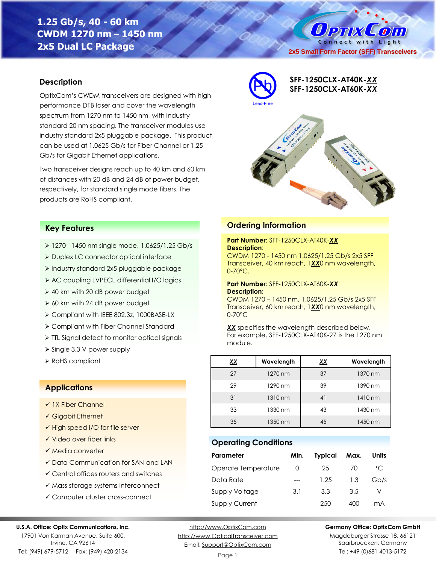# **1.25 Gb/s, 40 - 60 km CWDM 1270 nm – 1450 nm 2x5 Dual LC Package**

 $0$  PTIX  $\mathcal{L}$  (0)  $\mathcal{L}$  1) Connect with Light **2x5 Small Form Factor (SFF) Transceivers**

### **Description**

OptixCom's CWDM transceivers are designed with high performance DFB laser and cover the wavelength spectrum from 1270 nm to 1450 nm, with industry standard 20 nm spacing. The transceiver modules use industry standard 2x5 pluggable package. This product can be used at 1.0625 Gb/s for Fiber Channel or 1.25 Gb/s for Gigabit Ethernet applications.

Two transceiver designs reach up to 40 km and 60 km of distances with 20 dB and 24 dB of power budget, respectively, for standard single mode fibers. The products are RoHS compliant.



**Ordering Information**

**Description**:

**Description**:

0-70°C.

0-70°C

module.

**Operating Conditions**

**Part Number**: SFF-1250CLX-AT40K-*XX*

**Part Number**: SFF-1250CLX-AT60K-*XX*

CWDM 1270 - 1450 nm 1.0625/1.25 Gb/s 2x5 SFF Transceiver, 40 km reach, 1*XX*0 nm wavelength,

CWDM 1270 – 1450 nm, 1.0625/1.25 Gb/s 2x5 SFF Transceiver, 60 km reach, 1*XX*0 nm wavelength,

*XX* specifies the wavelength described below. For example, SFF-1250CLX-AT40K-27 is the 1270 nm

**SFF-1250CLX-AT40K-***XX* Pb **SFF-1250CLX-AT60K-***XX*

27 1270 nm  $\frac{1}{37}$  1370 nm 29 1290 nm 39 1390 nm 31 1310 nm 41 1410 nm 33 1330 nm 43 1430 nm 35 1350 nm 45 1450 nm

**Parameter Min. Typical Max. Units** Operate Temperature 0 25 70 °C Data Rate --- 1.25 1.3 Gb/s Supply Voltage 3.1 3.3 3.5 V Supply Current --- 250 400 mA

## **Key Features**

- ➢ 1270 1450 nm single mode, 1.0625/1.25 Gb/s
- ➢ Duplex LC connector optical interface
- ➢ Industry standard 2x5 pluggable package
- ➢ AC coupling LVPECL differential I/O logics
- ➢ 40 km with 20 dB power budget
- ➢ 60 km with 24 dB power budget
- ➢ Compliant with IEEE 802.3z, 1000BASE-LX
- ➢ Compliant with Fiber Channel Standard
- ➢ TTL Signal detect to monitor optical signals
- ➢ Single 3.3 V power supply
- ➢ RoHS compliant *XX* **Wavelength** *XX* **Wavelength**

# **Applications**

- ✓ 1X Fiber Channel
- ✓ Gigabit Ethernet
- ✓ High speed I/O for file server
- ✓ Video over fiber links
- ✓ Media converter
- ✓ Data Communication for SAN and LAN
- ✓ Central offices routers and switches
- ✓ Mass storage systems interconnect
- ✓ Computer cluster cross-connect

### **U.S.A. Office: Optix Communications, Inc.**

17901 Von Karman Avenue, Suite 600, Irvine, CA 92614 Tel: (949) 679-5712 Fax: (949) 420-2134

[http://www.OptixCom.com](http://www.optixcom.com/) [http://www.OpticalTransceiver.com](http://www.optoictech.com/) Email: [Support@OptixCom.com](mailto:Support@optoICtech.com)

### **Germany Office: OptixCom GmbH**

Magdeburger Strasse 18, 66121 Saarbruecken, Germany Tel: +49 (0)681 4013-5172

#### Page 1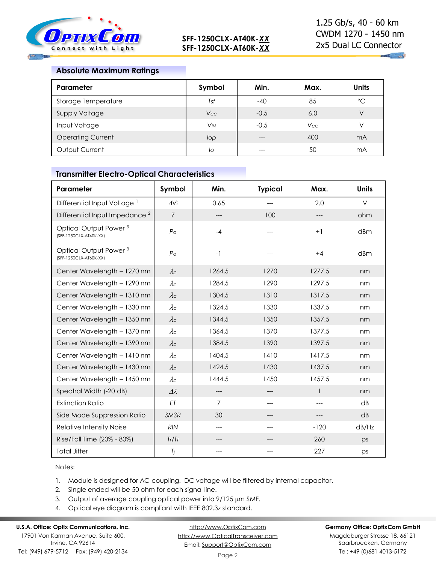

 $\mathbf{u}_1$  and

# **Absolute Maximum Ratings**

| Parameter                | Symbol                | Min.   | Max.       | Units       |
|--------------------------|-----------------------|--------|------------|-------------|
| Storage Temperature      | Tst                   | $-40$  | 85         | $^{\circ}C$ |
| <b>Supply Voltage</b>    | <b>Vcc</b>            | $-0.5$ | 6.0        | V           |
| Input Voltage            | <b>V<sub>IN</sub></b> | $-0.5$ | <b>Vcc</b> | V           |
| <b>Operating Current</b> | lop                   | $---$  | 400        | mA          |
| Output Current           | lo                    | ---    | 50         | mA          |

### **Transmitter Electro-Optical Characteristics**

| Parameter                                                   | Symbol           | Min.           | <b>Typical</b> | Max.         | <b>Units</b>    |
|-------------------------------------------------------------|------------------|----------------|----------------|--------------|-----------------|
| Differential Input Voltage <sup>1</sup>                     | $\Delta$ Vi      | 0.65           | $---$          | 2.0          | $\vee$          |
| Differential Input Impedance <sup>2</sup>                   | Z                | ---            | 100            |              | ohm             |
| Optical Output Power <sup>3</sup><br>(SFF-1250CLX-AT40K-XX) | $P_{\rm O}$      | $-4$           |                | $+1$         | dBm             |
| Optical Output Power <sup>3</sup><br>(SFF-1250CLX-AT60K-XX) | $P_{\rm O}$      | $-1$           |                | $+4$         | dBm             |
| Center Wavelength - 1270 nm                                 | $\lambda c$      | 1264.5         | 1270           | 1277.5       | nm              |
| Center Wavelength - 1290 nm                                 | $\lambda c$      | 1284.5         | 1290           | 1297.5       | nm              |
| Center Wavelength - 1310 nm                                 | $\lambda c$      | 1304.5         | 1310           | 1317.5       | nm              |
| Center Wavelength - 1330 nm                                 | $\lambda c$      | 1324.5         | 1330           | 1337.5       | nm              |
| Center Wavelength - 1350 nm                                 | $\lambda c$      | 1344.5         | 1350           | 1357.5       | nm              |
| Center Wavelength - 1370 nm                                 | $\lambda c$      | 1364.5         | 1370           | 1377.5       | nm              |
| Center Wavelength - 1390 nm                                 | $\lambda c$      | 1384.5         | 1390           | 1397.5       | nm              |
| Center Wavelength - 1410 nm                                 | $\lambda c$      | 1404.5         | 1410           | 1417.5       | nm              |
| Center Wavelength - 1430 nm                                 | $\lambda c$      | 1424.5         | 1430           | 1437.5       | nm              |
| Center Wavelength - 1450 nm                                 | $\lambda c$      | 1444.5         | 1450           | 1457.5       | nm              |
| Spectral Width (-20 dB)                                     | $\Delta \lambda$ | ---            |                | $\mathbf{1}$ | nm              |
| <b>Extinction Ratio</b>                                     | ET               | $\overline{7}$ | $---$          | $---$        | $\overline{AB}$ |
| Side Mode Suppression Ratio                                 | <b>SMSR</b>      | 30             | $---$          | $---$        | dB              |
| Relative Intensity Noise                                    | <b>RIN</b>       | ---            | ---            | $-120$       | dB/Hz           |
| Rise/Fall Time (20% - 80%)                                  | Tr/Tr            | ---            |                | 260          | ps              |
| <b>Total Jitter</b>                                         | Tj               | ---            |                | 227          | ps              |

Notes:

1. Module is designed for AC coupling. DC voltage will be filtered by internal capacitor.

2. Single ended will be 50 ohm for each signal line.

- 3. Output of average coupling optical power into  $9/125 \mu m$  SMF.
- 4. Optical eye diagram is compliant with IEEE 802.3z standard.

## **U.S.A. Office: Optix Communications, Inc.**

17901 Von Karman Avenue, Suite 600, Irvine, CA 92614 Tel: (949) 679-5712 Fax: (949) 420-2134

[http://www.OptixCom.com](http://www.optixcom.com/) [http://www.OpticalTransceiver.com](http://www.optoictech.com/) Email: [Support@OptixCom.com](mailto:Support@optoICtech.com)

### **Germany Office: OptixCom GmbH**

Magdeburger Strasse 18, 66121 Saarbruecken, Germany Tel: +49 (0)681 4013-5172